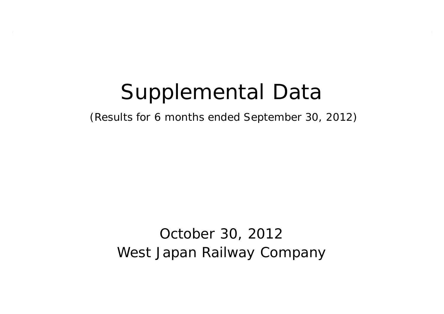# Supplemental Data

(Results for 6 months ended September 30, 2012)

October 30, 2012 West Japan Railway Company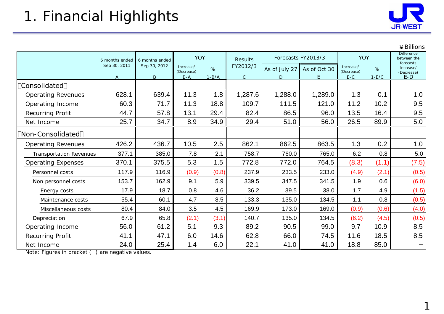

¥Billions

1

|                                | 6 months ended    | 6 months ended    | <b>YOY</b>                       |              | <b>Results</b>             |                    | Forecasts FY2013/3 | YOY                              |              | <b>Difference</b><br>between the<br>forecasts |
|--------------------------------|-------------------|-------------------|----------------------------------|--------------|----------------------------|--------------------|--------------------|----------------------------------|--------------|-----------------------------------------------|
|                                | Sep 30, 2011<br>A | Sep 30, 2012<br>B | Increase/<br>(Decrease)<br>$B-A$ | %<br>$1-B/A$ | FY2012/3<br>$\overline{C}$ | As of July 27<br>D | As of Oct 30<br>E  | Increase/<br>(Decrease)<br>$E-C$ | %<br>$1-E/C$ | Increase/<br>(Decrease)<br>$E-D$              |
| Consolidated                   |                   |                   |                                  |              |                            |                    |                    |                                  |              |                                               |
| <b>Operating Revenues</b>      | 628.1             | 639.4             | 11.3                             | 1.8          | 1,287.6                    | 1,288.0            | 1,289.0            | 1.3                              | 0.1          | 1.0                                           |
| Operating Income               | 60.3              | 71.7              | 11.3                             | 18.8         | 109.7                      | 111.5              | 121.0              | 11.2                             | 10.2         | 9.5                                           |
| Recurring Profit               | 44.7              | 57.8              | 13.1                             | 29.4         | 82.4                       | 86.5               | 96.0               | 13.5                             | 16.4         | 9.5                                           |
| Net Income                     | 25.7              | 34.7              | 8.9                              | 34.9         | 29.4                       | 51.0               | 56.0               | 26.5                             | 89.9         | 5.0                                           |
| Non-Consolidated               |                   |                   |                                  |              |                            |                    |                    |                                  |              |                                               |
| <b>Operating Revenues</b>      | 426.2             | 436.7             | 10.5                             | 2.5          | 862.1                      | 862.5              | 863.5              | 1.3                              | 0.2          | 1.0                                           |
| <b>Transportation Revenues</b> | 377.1             | 385.0             | 7.8                              | 2.1          | 758.7                      | 760.0              | 765.0              | 6.2                              | 0.8          | 5.0                                           |
| <b>Operating Expenses</b>      | 370.1             | 375.5             | 5.3                              | 1.5          | 772.8                      | 772.0              | 764.5              | (8.3)                            | (1.1)        | (7.5)                                         |
| Personnel costs                | 117.9             | 116.9             | (0.9)                            | (0.8)        | 237.9                      | 233.5              | 233.0              | (4.9)                            | (2.1)        | (0.5)                                         |
| Non personnel costs            | 153.7             | 162.9             | 9.1                              | 5.9          | 339.5                      | 347.5              | 341.5              | 1.9                              | 0.6          | (6.0)                                         |
| Energy costs                   | 17.9              | 18.7              | 0.8                              | 4.6          | 36.2                       | 39.5               | 38.0               | 1.7                              | 4.9          | (1.5)                                         |
| Maintenance costs              | 55.4              | 60.1              | 4.7                              | 8.5          | 133.3                      | 135.0              | 134.5              | 1.1                              | 0.8          | (0.5)                                         |
| Miscellaneous costs            | 80.4              | 84.0              | 3.5                              | 4.5          | 169.9                      | 173.0              | 169.0              | (0.9)                            | (0.6)        | (4.0)                                         |
| Depreciation                   | 67.9              | 65.8              | (2.1)                            | (3.1)        | 140.7                      | 135.0              | 134.5              | (6.2)                            | (4.5)        | (0.5)                                         |
| Operating Income               | 56.0              | 61.2              | 5.1                              | 9.3          | 89.2                       | 90.5               | 99.0               | 9.7                              | 10.9         | 8.5                                           |
| Recurring Profit               | 41.1              | 47.1              | 6.0                              | 14.6         | 62.8                       | 66.0               | 74.5               | 11.6                             | 18.5         | 8.5                                           |
| Net Income                     | 24.0              | 25.4              | 1.4                              | 6.0          | 22.1                       | 41.0               | 41.0               | 18.8                             | 85.0         |                                               |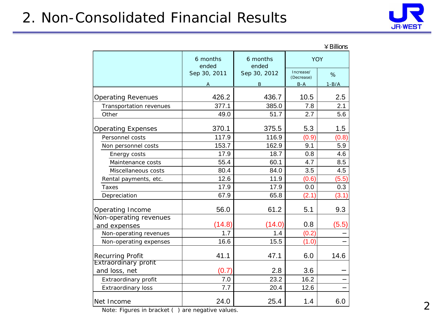# 2. Non-Consolidated Financial Results



#### ¥Billions

|                                        | 6 months<br>ended | 6 months<br>ended | YOY                     |           |
|----------------------------------------|-------------------|-------------------|-------------------------|-----------|
|                                        | Sep 30, 2011      | Sep 30, 2012      | Increase/<br>(Decrease) | %         |
|                                        | А                 | $\sf B$           | $B-A$                   | $1 - B/A$ |
| <b>Operating Revenues</b>              | 426.2             | 436.7             | 10.5                    | 2.5       |
| Transportation revenues                | 377.1             | 385.0             | 7.8                     | 2.1       |
| Other                                  | 49.0              | 51.7              | 2.7                     | 5.6       |
| <b>Operating Expenses</b>              | 370.1             | 375.5             | 5.3                     | 1.5       |
| Personnel costs                        | 117.9             | 116.9             | (0.9)                   | (0.8)     |
| Non personnel costs                    | 153.7             | 162.9             | 9.1                     | 5.9       |
| Energy costs                           | 17.9              | 18.7              | 0.8                     | 4.6       |
| Maintenance costs                      | 55.4              | 60.1              | 4.7                     | 8.5       |
| Miscellaneous costs                    | 80.4              | 84.0              | 3.5                     | 4.5       |
| Rental payments, etc.                  | 12.6              | 11.9              | (0.6)                   | (5.5)     |
| Taxes                                  | 17.9              | 17.9              | 0.0                     | 0.3       |
| Depreciation                           | 67.9              | 65.8              | (2.1)                   | (3.1)     |
| Operating Income                       | 56.0              | 61.2              | 5.1                     | 9.3       |
| Non-operating revenues<br>and expenses | (14.8)            | (14.0)            | 0.8                     | (5.5)     |
| Non-operating revenues                 | 1.7               | 1.4               | (0.2)                   |           |
| Non-operating expenses                 | 16.6              | 15.5              | (1.0)                   |           |
| <b>Recurring Profit</b>                | 41.1              | 47.1              | 6.0                     | 14.6      |
| Extraordinary profit                   |                   |                   |                         |           |
| and loss, net                          | (0.7)             | 2.8               | 3.6                     |           |
| Extraordinary profit                   | 7.0               | 23.2              | 16.2                    |           |
| <b>Extraordinary loss</b>              | 7.7               | 20.4              | 12.6                    |           |
| Net Income                             | 24.0              | 25.4              | 1.4                     | 6.0       |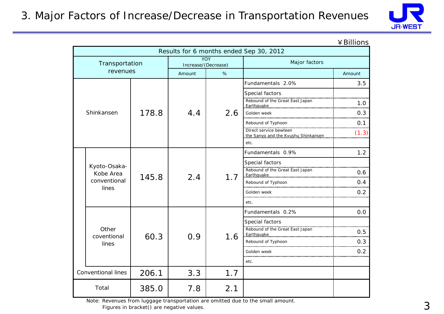

| Results for 6 months ended Sep 30, 2012 |                                                    |       |                                   |     |                                                                                                  |                   |  |  |  |  |
|-----------------------------------------|----------------------------------------------------|-------|-----------------------------------|-----|--------------------------------------------------------------------------------------------------|-------------------|--|--|--|--|
|                                         | Transportation                                     |       | <b>YOY</b><br>Increase/(Decrease) |     | Major factors                                                                                    |                   |  |  |  |  |
| revenues                                |                                                    |       | %<br>Amount                       |     |                                                                                                  | Amount            |  |  |  |  |
|                                         |                                                    |       |                                   |     | Fundamentals 2.0%                                                                                | 3.5               |  |  |  |  |
|                                         |                                                    |       |                                   |     | Special factors                                                                                  | 1.0               |  |  |  |  |
|                                         | Shinkansen                                         | 178.8 | 4.4                               | 2.6 | Golden week                                                                                      | 0.3               |  |  |  |  |
|                                         |                                                    |       |                                   |     | Rebound of Typhoon                                                                               | 0.1               |  |  |  |  |
|                                         |                                                    |       |                                   |     | Direct service bewteen<br>the Sanyo and the Kyushu Shinkansen<br>etc.                            | (1.3)             |  |  |  |  |
|                                         |                                                    |       |                                   |     | Fundamentals 0.9%                                                                                | 1.2               |  |  |  |  |
|                                         | Kyoto-Osaka-<br>Kobe Area<br>conventional<br>lines | 145.8 | 2.4                               | 1.7 | Special factors<br>Rebound of the Great East Japan<br>Rebound of Typhoon<br>Golden week<br>etc.  | 0.6<br>0.4<br>0.2 |  |  |  |  |
|                                         |                                                    |       |                                   |     | Fundamentals 0.2%                                                                                | 0.0               |  |  |  |  |
|                                         | Other<br>coventional<br>lines                      | 60.3  | 0.9                               | 1.6 | Special factors<br>windows and the Great East Japan<br>Rebound of Typhoon<br>Golden week<br>etc. | 0.5<br>0.3<br>0.2 |  |  |  |  |
|                                         | Conventional lines                                 | 206.1 | 3.3                               | 1.7 |                                                                                                  |                   |  |  |  |  |
| Total                                   |                                                    | 385.0 | 7.8                               | 2.1 |                                                                                                  |                   |  |  |  |  |

Note: Revenues from luggage transportation are omitted due to the small amount.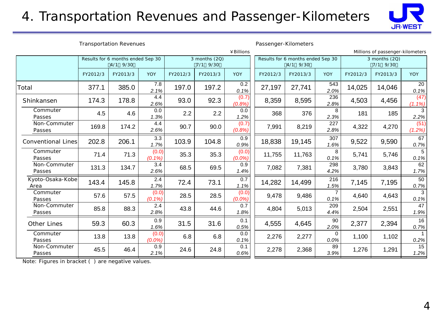#### 4. Transportation Revenues and Passenger-Kilometers



Transportation Revenues **Passenger-Kilometers** 

|                           |          |                                               |                    |                           |          | ¥ Billions         |                                               |          |                        |                           | Millions of passenger-kilometers |                   |
|---------------------------|----------|-----------------------------------------------|--------------------|---------------------------|----------|--------------------|-----------------------------------------------|----------|------------------------|---------------------------|----------------------------------|-------------------|
|                           |          | Results for 6 months ended Sep 30<br>4/1 9/30 |                    | 3 months (2Q)<br>7/1 9/30 |          |                    | Results for 6 months ended Sep 30<br>4/1 9/30 |          |                        | 3 months (2Q)<br>7/1 9/30 |                                  |                   |
|                           | FY2012/3 | FY2013/3                                      | <b>YOY</b>         | FY2012/3                  | FY2013/3 | <b>YOY</b>         | FY2012/3                                      | FY2013/3 | <b>YOY</b>             | FY2012/3                  | FY2013/3                         | <b>YOY</b>        |
| Total                     | 377.1    | 385.0                                         | 7.8<br>2.1%        | 197.0                     | 197.2    | 0.2<br>0.1%        | 27,197                                        | 27,741   | 543<br>2.0%            | 14,025                    | 14,046                           | 20<br>0.1%        |
| Shinkansen                | 174.3    | 178.8                                         | 4.4<br>2.6%        | 93.0                      | 92.3     | (0.7)<br>(0.8%     | 8,359                                         | 8,595    | 236<br>2.8%            | 4,503                     | 4,456                            | (47)<br>$(1.1\%)$ |
| Commuter<br>Passes        | 4.5      | 4.6                                           | 0.0<br>1.3%        | 2.2                       | 2.2      | 0.0<br>1.2%        | 368                                           | 376      | 8<br>2.3%              | 181                       | 185                              | 3<br>2.2%         |
| Non-Commuter<br>Passes    | 169.8    | 174.2                                         | 4.4<br>2.6%        | 90.7                      | 90.0     | (0.7)<br>(0.8%)    | 7,991                                         | 8,219    | 227<br>2.8%            | 4,322                     | 4,270                            | (51)<br>(1.2%)    |
| <b>Conventional Lines</b> | 202.8    | 206.1                                         | 3.3<br>1.7%        | 103.9                     | 104.8    | 0.9<br>0.9%        | 18,838                                        | 19,145   | 307<br>1.6%            | 9,522                     | 9,590                            | 67<br>0.7%        |
| Commuter<br>Passes        | 71.4     | 71.3                                          | (0.0)<br>$(0.1\%)$ | 35.3                      | 35.3     | (0.0)<br>$(0.0\%)$ | 11,755                                        | 11,763   | 8<br>0.1%              | 5,741                     | 5,746                            | 5<br>0.1%         |
| Non-Commuter<br>Passes    | 131.3    | 134.7                                         | 3.4<br>2.6%        | 68.5                      | 69.5     | 0.9<br>1.4%        | 7,082                                         | 7,381    | 298<br>4.2%            | 3,780                     | 3,843                            | 62<br>1.7%        |
| Kyoto-Osaka-Kobe<br>Area  | 143.4    | 145.8                                         | 2.4<br>1.7%        | 72.4                      | 73.1     | 0.7<br>1.1%        | 14,282                                        | 14,499   | 216<br>1.5%            | 7,145                     | 7,195                            | 50<br>0.7%        |
| Commuter<br>Passes        | 57.6     | 57.5                                          | (0.0)<br>$(0.1\%)$ | 28.5                      | 28.5     | (0.0)<br>(0.0%     | 9,478                                         | 9,486    | $\overline{7}$<br>0.1% | 4,640                     | 4,643                            | 3<br>0.1%         |
| Non-Commuter<br>Passes    | 85.8     | 88.3                                          | 2.4<br>2.8%        | 43.8                      | 44.6     | 0.7<br>1.8%        | 4,804                                         | 5,013    | 209<br>4.4%            | 2,504                     | 2,551                            | 47<br>1.9%        |
| <b>Other Lines</b>        | 59.3     | 60.3                                          | 0.9<br>1.6%        | 31.5                      | 31.6     | 0.1<br>0.5%        | 4,555                                         | 4,645    | 90<br>2.0%             | 2,377                     | 2,394                            | 16<br>0.7%        |
| Commuter<br>Passes        | 13.8     | 13.8                                          | (0.0)<br>$(0.0\%)$ | 6.8                       | 6.8      | 0.0<br>0.1%        | 2,276                                         | 2,277    | $\Omega$<br>0.0%       | 1,100                     | 1,102                            | 0.2%              |
| Non-Commuter<br>Passes    | 45.5     | 46.4                                          | 0.9<br>2.1%        | 24.6                      | 24.8     | 0.1<br>0.6%        | 2,278                                         | 2,368    | 89<br>3.9%             | 1,276                     | 1,291                            | 15<br>1.2%        |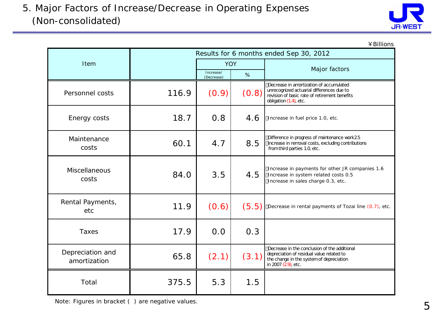

| ¥ Billions                       |                                         |                         |       |                                                                                                                                                                    |  |  |  |  |  |  |  |
|----------------------------------|-----------------------------------------|-------------------------|-------|--------------------------------------------------------------------------------------------------------------------------------------------------------------------|--|--|--|--|--|--|--|
|                                  | Results for 6 months ended Sep 30, 2012 |                         |       |                                                                                                                                                                    |  |  |  |  |  |  |  |
| Item                             |                                         | <b>YOY</b>              |       |                                                                                                                                                                    |  |  |  |  |  |  |  |
|                                  |                                         | Increase/<br>(Decrease) | %     | Major factors                                                                                                                                                      |  |  |  |  |  |  |  |
| Personnel costs                  | 116.9                                   | (0.9)                   | (0.8) | Decrease in amortization of accumulated<br>unrecognized actuarial differences due to<br>revision of basic rate of retirement benefits<br>obligation $(1.4)$ , etc. |  |  |  |  |  |  |  |
| Energy costs                     | 18.7                                    | 0.8                     | 4.6   | Increase in fuel price 1.0, etc.                                                                                                                                   |  |  |  |  |  |  |  |
| Maintenance<br>costs             | 60.1                                    | 4.7                     | 8.5   | Difference in progress of maintenance work25<br>Increase in removal costs, excluding contributions<br>from third parties 1.0, etc.                                 |  |  |  |  |  |  |  |
| Miscellaneous<br>costs           | 84.0                                    | 3.5                     | 4.5   | Increase in payments for other JR companies 1.6<br>Increase in system related costs 0.5<br>Increase in sales charge 0.3, etc.                                      |  |  |  |  |  |  |  |
| Rental Payments,<br>etc          | 11.9                                    | (0.6)                   | (5.5) | Decrease in rental payments of Tozai line (0.7), etc.                                                                                                              |  |  |  |  |  |  |  |
| <b>Taxes</b>                     | 17.9                                    | 0.0                     | 0.3   |                                                                                                                                                                    |  |  |  |  |  |  |  |
| Depreciation and<br>amortization | 65.8                                    | (2.1)                   | (3.1) | Decrease in the conclusion of the additional<br>depreciation of residual value related to<br>the change in the system of depreciation<br>in $2007(29)$ , etc.      |  |  |  |  |  |  |  |
| Total                            | 375.5                                   | 5.3                     | 1.5   |                                                                                                                                                                    |  |  |  |  |  |  |  |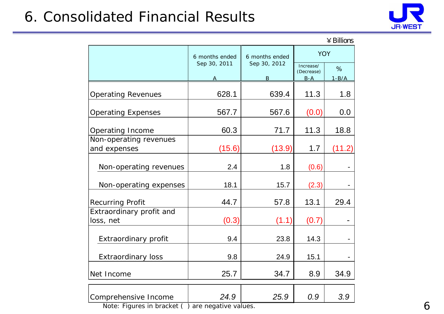# 6. Consolidated Financial Results



#### $4$  Billions

|                                                                                 | 6 months ended | 6 months ended | <b>YOY</b>              |           |
|---------------------------------------------------------------------------------|----------------|----------------|-------------------------|-----------|
|                                                                                 | Sep 30, 2011   | Sep 30, 2012   | Increase/<br>(Decrease) | %         |
|                                                                                 |                | B              | $B-A$                   | $1 - B/A$ |
| <b>Operating Revenues</b>                                                       | 628.1          | 639.4          | 11.3                    | 1.8       |
| <b>Operating Expenses</b>                                                       | 567.7          | 567.6          | (0.0)                   | 0.0       |
| Operating Income                                                                | 60.3           | 71.7           | 11.3                    | 18.8      |
| Non-operating revenues                                                          |                |                |                         |           |
| and expenses                                                                    | (15.6)         | (13.9)         | 1.7                     | (11.2)    |
| Non-operating revenues                                                          | 2.4            | 1.8            | (0.6)                   |           |
| Non-operating expenses                                                          | 18.1           | 15.7           | (2.3)                   |           |
| <b>Recurring Profit</b>                                                         | 44.7           | 57.8           | 13.1                    | 29.4      |
| Extraordinary profit and<br>loss, net                                           | (0.3)          | (1.1)          | (0.7)                   |           |
| Extraordinary profit                                                            | 9.4            | 23.8           | 14.3                    |           |
| <b>Extraordinary loss</b>                                                       | 9.8            | 24.9           | 15.1                    |           |
| Net Income                                                                      | 25.7           | 34.7           | 8.9                     | 34.9      |
| Comprehensive Income<br>$M$ ete. $\Gamma$ iau maa in langeleet ( $\overline{M}$ | 24.9           | 25.9           | 0.9                     | 3.9       |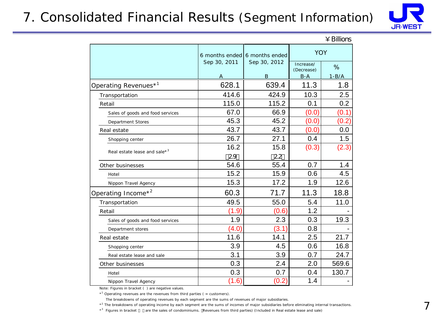### 7. Consolidated Financial Results (Segment Information)



| ¥ Billions |
|------------|
|            |

|                                          |              | 6 months ended 6 months ended | <b>YOY</b>              |         |  |
|------------------------------------------|--------------|-------------------------------|-------------------------|---------|--|
|                                          | Sep 30, 2011 | Sep 30, 2012                  | Increase/<br>(Decrease) | %       |  |
|                                          | Α            | B                             | $B-A$                   | $1-B/A$ |  |
| Operating Revenues* <sup>1</sup>         | 628.1        | 639.4                         | 11.3                    | 1.8     |  |
| Transportation                           | 414.6        | 424.9                         | 10.3                    | 2.5     |  |
| Retail                                   | 115.0        | 115.2                         | 0.1                     | 0.2     |  |
| Sales of goods and food services         | 67.0         | 66.9                          | (0.0)                   | (0.1)   |  |
| Department Stores                        | 45.3         | 45.2                          | (0.0)                   | (0.2)   |  |
| Real estate                              | 43.7         | 43.7                          | (0.0)                   | 0.0     |  |
| Shopping center                          | 26.7         | 27.1                          | 0.4                     | 1.5     |  |
| Real estate lease and sale* <sup>3</sup> | 16.2         | 15.8                          | (0.3)                   | (2.3)   |  |
|                                          | 29           | 22                            |                         |         |  |
| Other businesses                         | 54.6         | 55.4                          | 0.7                     | 1.4     |  |
| Hotel                                    | 15.2         | 15.9                          | 0.6                     | 4.5     |  |
| Nippon Travel Agency                     | 15.3         | 17.2                          | 1.9                     | 12.6    |  |
| Operating Income <sup>*2</sup>           | 60.3         | 71.7                          | 11.3                    | 18.8    |  |
| Transportation                           | 49.5         | 55.0                          | 5.4                     | 11.0    |  |
| Retail                                   | (1.9)        | (0.6)                         | 1.2                     |         |  |
| Sales of goods and food services         | 1.9          | 2.3                           | 0.3                     | 19.3    |  |
| Department stores                        | (4.0)        | (3.1)                         | 0.8                     |         |  |
| Real estate                              | 11.6         | 14.1                          | 2.5                     | 21.7    |  |
| Shopping center                          | 3.9          | 4.5                           | 0.6                     | 16.8    |  |
| Real estate lease and sale               | 3.1          | 3.9                           | 0.7                     | 24.7    |  |
| Other businesses                         | 0.3          | 2.4                           | 2.0                     | 569.6   |  |
| Hotel                                    | 0.3          | 0.7                           | 0.4                     | 130.7   |  |
| Nippon Travel Agency                     | (1.6)        | (0.2)                         | 1.4                     |         |  |

Note: Figures in bracket ( ) are negative values.

 $*$ <sup>1</sup> Operating revenues are the revenues from third parties ( = customers).

The breakdowns of operating revenues by each segment are the sums of revenues of major subsidiaries.

\*<sup>2</sup> The breakdowns of operating income by each segment are the sums of incomes of major subsidiaries before eliminating internal transactions.

\*<sup>3</sup> Figures in bracket are the sales of condominiums. Revenues from third parties) (Included in Real estate lease and sale)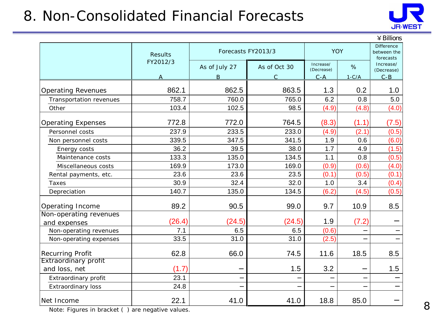# 8. Non-Consolidated Financial Forecasts



|                                              |                |                    |              |                         |                                               | $\angle$ Billions       |
|----------------------------------------------|----------------|--------------------|--------------|-------------------------|-----------------------------------------------|-------------------------|
|                                              | <b>Results</b> | Forecasts FY2013/3 |              | <b>YOY</b>              | <b>Difference</b><br>between the<br>forecasts |                         |
|                                              | FY2012/3       | As of July 27      | As of Oct 30 | Increase/<br>(Decrease) | %                                             | Increase/<br>(Decrease) |
|                                              | Α              | B                  | C            | $C - A$                 | $1-C/A$                                       | $C - B$                 |
| <b>Operating Revenues</b>                    | 862.1          | 862.5              | 863.5        | 1.3                     | 0.2                                           | 1.0                     |
| Transportation revenues                      | 758.7          | 760.0              | 765.0        | 6.2                     | 0.8                                           | 5.0                     |
| Other                                        | 103.4          | 102.5              | 98.5         | (4.9)                   | (4.8)                                         | (4.0)                   |
| <b>Operating Expenses</b>                    | 772.8          | 772.0              | 764.5        | (8.3)                   | (1.1)                                         | (7.5)                   |
| Personnel costs                              | 237.9          | 233.5              | 233.0        | (4.9)                   | (2.1)                                         | (0.5)                   |
| Non personnel costs                          | 339.5          | 347.5              | 341.5        | 1.9                     | 0.6                                           | (6.0)                   |
| Energy costs                                 | 36.2           | 39.5               | 38.0         | 1.7                     | 4.9                                           | (1.5)                   |
| Maintenance costs                            | 133.3          | 135.0              | 134.5        | 1.1                     | 0.8                                           | (0.5)                   |
| Miscellaneous costs                          | 169.9          | 173.0              | 169.0        | (0.9)                   | (0.6)                                         | (4.0)                   |
| Rental payments, etc.                        | 23.6           | 23.6               | 23.5         | (0.1)                   | (0.5)                                         | (0.1)                   |
| Taxes                                        | 30.9           | 32.4               | 32.0         | 1.0                     | 3.4                                           | (0.4)                   |
| Depreciation                                 | 140.7          | 135.0              | 134.5        | (6.2)                   | (4.5)                                         | (0.5)                   |
| Operating Income                             | 89.2           | 90.5               | 99.0         | 9.7                     | 10.9                                          | 8.5                     |
| Non-operating revenues<br>and expenses       | (26.4)         | (24.5)             | (24.5)       | 1.9                     | (7.2)                                         |                         |
| Non-operating revenues                       | 7.1            | 6.5                | 6.5          | (0.6)                   |                                               |                         |
| Non-operating expenses                       | 33.5           | 31.0               | 31.0         | (2.5)                   |                                               |                         |
| Recurring Profit                             | 62.8           | 66.0               | 74.5         | 11.6                    | 18.5                                          | 8.5                     |
| <b>Extraordinary profit</b><br>and loss, net | (1.7)          |                    | 1.5          | 3.2                     |                                               | 1.5                     |
| Extraordinary profit                         | 23.1           |                    |              |                         |                                               |                         |
| Extraordinary loss                           | 24.8           |                    |              |                         |                                               |                         |
| Net Income                                   | 22.1           | 41.0               | 41.0         | 18.8                    | 85.0                                          |                         |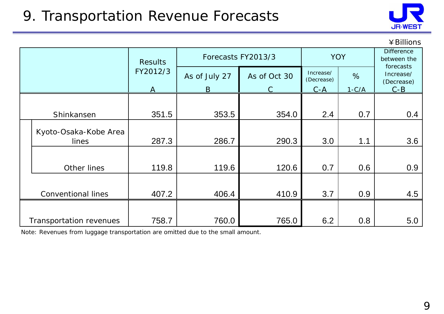# 9. Transportation Revenue Forecasts



|                                |                |                    |              |                         |                                               | ¥Billions               |
|--------------------------------|----------------|--------------------|--------------|-------------------------|-----------------------------------------------|-------------------------|
|                                | <b>Results</b> | Forecasts FY2013/3 |              | <b>YOY</b>              | <b>Difference</b><br>between the<br>forecasts |                         |
|                                | FY2012/3       | As of July 27      | As of Oct 30 | Increase/<br>(Decrease) | %                                             | Increase/<br>(Decrease) |
|                                | A              | B.                 |              | $C - A$                 | $1-C/A$                                       | $C-B$                   |
| Shinkansen                     | 351.5          | 353.5              | 354.0        | 2.4                     | 0.7                                           | 0.4                     |
| Kyoto-Osaka-Kobe Area<br>lines | 287.3          | 286.7              | 290.3        | 3.0                     | 1.1                                           | 3.6                     |
| Other lines                    | 119.8          | 119.6              | 120.6        | 0.7                     | 0.6                                           | 0.9                     |
| <b>Conventional lines</b>      | 407.2          | 406.4              | 410.9        | 3.7                     | 0.9                                           | 4.5                     |
| Transportation revenues        | 758.7          | 760.0              | 765.0        | 6.2                     | 0.8                                           | 5.0                     |

Note: Revenues from luggage transportation are omitted due to the small amount.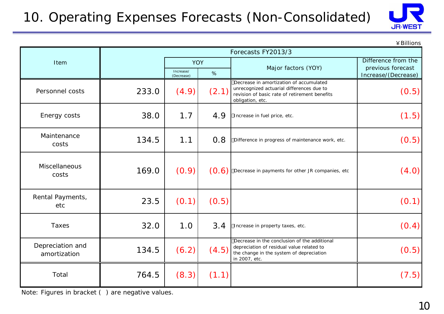# 10. Operating Expenses Forecasts (Non-Consolidated)



¥Billions

|                                  |       | Forecasts FY2013/3      |            |                                                                                                                                                           |                                          |  |  |
|----------------------------------|-------|-------------------------|------------|-----------------------------------------------------------------------------------------------------------------------------------------------------------|------------------------------------------|--|--|
| Item                             |       |                         | <b>YOY</b> |                                                                                                                                                           | Difference from the                      |  |  |
|                                  |       | Increase/<br>(Decrease) | $\%$       | Major factors (YOY)                                                                                                                                       | previous forecast<br>Increase/(Decrease) |  |  |
| Personnel costs                  | 233.0 | (4.9)                   | (2.1)      | Decrease in amortization of accumulated<br>unrecognized actuarial differences due to<br>revision of basic rate of retirement benefits<br>obligation, etc. | (0.5)                                    |  |  |
| Energy costs                     | 38.0  | 1.7                     | 4.9        | Increase in fuel price, etc.                                                                                                                              | (1.5)                                    |  |  |
| Maintenance<br>costs             | 134.5 | 1.1                     | 0.8        | Difference in progress of maintenance work, etc.                                                                                                          | (0.5)                                    |  |  |
| Miscellaneous<br>costs           | 169.0 | (0.9)                   | (0.6)      | Decrease in payments for other JR companies, etc                                                                                                          | (4.0)                                    |  |  |
| Rental Payments,<br>etc          | 23.5  | (0.1)                   | (0.5)      |                                                                                                                                                           | (0.1)                                    |  |  |
| Taxes                            | 32.0  | 1.0                     | 3.4        | Increase in property taxes, etc.                                                                                                                          | (0.4)                                    |  |  |
| Depreciation and<br>amortization | 134.5 | (6.2)                   | (4.5)      | Decrease in the conclusion of the additional<br>depreciation of residual value related to<br>the change in the system of depreciation<br>in 2007, etc.    | (0.5)                                    |  |  |
| Total                            | 764.5 | (8.3)                   | (1.1)      |                                                                                                                                                           | (7.5)                                    |  |  |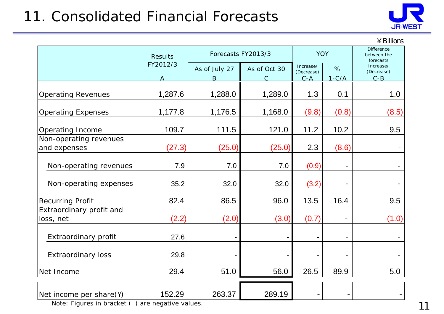# 11. Consolidated Financial Forecasts



¥Billions

|                                        | <b>Results</b> | Forecasts FY2013/3 |                           | <b>YOY</b>                         |              | Difference<br>between the<br>forecasts |
|----------------------------------------|----------------|--------------------|---------------------------|------------------------------------|--------------|----------------------------------------|
|                                        | FY2012/3       | As of July 27<br>B | As of Oct 30<br>$\subset$ | Increase/<br>(Decrease)<br>$C - A$ | %<br>$1-C/A$ | Increase/<br>(Decrease)<br>$C - B$     |
| <b>Operating Revenues</b>              | 1,287.6        | 1,288.0            | 1,289.0                   | 1.3                                | 0.1          | 1.0                                    |
| <b>Operating Expenses</b>              | 1,177.8        | 1,176.5            | 1,168.0                   | (9.8)                              | (0.8)        | (8.5)                                  |
| Operating Income                       | 109.7          | 111.5              | 121.0                     | 11.2                               | 10.2         | 9.5                                    |
| Non-operating revenues<br>and expenses | (27.3)         | (25.0)             | (25.0)                    | 2.3                                | (8.6)        |                                        |
| Non-operating revenues                 | 7.9            | 7.0                | 7.0                       | (0.9)                              |              |                                        |
| Non-operating expenses                 | 35.2           | 32.0               | 32.0                      | (3.2)                              |              |                                        |
| <b>Recurring Profit</b>                | 82.4           | 86.5               | 96.0                      | 13.5                               | 16.4         | 9.5                                    |
| Extraordinary profit and<br>loss, net  | (2.2)          | (2.0)              | (3.0)                     | (0.7)                              |              | (1.0)                                  |
| Extraordinary profit                   | 27.6           | $\overline{a}$     |                           | $\blacksquare$                     |              |                                        |
| Extraordinary loss                     | 29.8           | $\blacksquare$     |                           |                                    |              |                                        |
| Net Income                             | 29.4           | 51.0               | 56.0                      | 26.5                               | 89.9         | 5.0                                    |
| Net income per share(\)                | 152.29         | 263.37             | 289.19                    |                                    |              |                                        |

Note: Figures in bracket ( ) are negative values.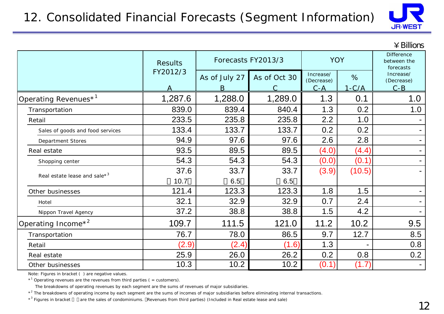#### 12. Consolidated Financial Forecasts (Segment Information)



|                                  |                |               |                    |                         |         | $4$ Billions                                  |
|----------------------------------|----------------|---------------|--------------------|-------------------------|---------|-----------------------------------------------|
|                                  | <b>Results</b> |               | Forecasts FY2013/3 | <b>YOY</b>              |         | <b>Difference</b><br>between the<br>forecasts |
|                                  | FY2012/3       | As of July 27 | As of Oct 30       | Increase/<br>(Decrease) | $\%$    | Increase/<br>(Decrease)                       |
|                                  |                | B             |                    | $C - A$                 | $1-C/A$ | $C - B$                                       |
| Operating Revenues <sup>*1</sup> | 1,287.6        | 1,288.0       | 1,289.0            | 1.3                     | 0.1     | 1.0                                           |
| Transportation                   | 839.0          | 839.4         | 840.4              | 1.3                     | 0.2     | 1.0                                           |
| Retail                           | 233.5          | 235.8         | 235.8              | 2.2                     | 1.0     |                                               |
| Sales of goods and food services | 133.4          | 133.7         | 133.7              | 0.2                     | 0.2     |                                               |
| Department Stores                | 94.9           | 97.6          | 97.6               | 2.6                     | 2.8     | $\blacksquare$                                |
| Real estate                      | 93.5           | 89.5          | 89.5               | (4.0)                   | (4.4)   | $\qquad \qquad \blacksquare$                  |
| Shopping center                  | 54.3           | 54.3          | 54.3               | (0.0)                   | (0.1)   |                                               |
| Real estate lease and sale $*^3$ | 37.6           | 33.7          | 33.7               | (3.9)                   | (10.5)  | ۰.                                            |
|                                  | 10.7           | 6.5           | 6.5                |                         |         |                                               |
| Other businesses                 | 121.4          | 123.3         | 123.3              | 1.8                     | 1.5     | $\blacksquare$                                |
| Hotel                            | 32.1           | 32.9          | 32.9               | 0.7                     | 2.4     | $\blacksquare$                                |
| Nippon Travel Agency             | 37.2           | 38.8          | 38.8               | 1.5                     | 4.2     | ۰.                                            |
| Operating Income <sup>*2</sup>   | 109.7          | 111.5         | 121.0              | 11.2                    | 10.2    | 9.5                                           |
| Transportation                   | 76.7           | 78.0          | 86.5               | 9.7                     | 12.7    | 8.5                                           |
| Retail                           | (2.9)          | (2.4)         | (1.6)              | 1.3                     |         | 0.8                                           |
| Real estate                      | 25.9           | 26.0          | 26.2               | 0.2                     | 0.8     | 0.2                                           |
| Other businesses                 | 10.3           | 10.2          | 10.2               | (0.1)                   | (1.7)   |                                               |

Note: Figures in bracket ( ) are negative values.

 $*$ <sup>1</sup> Operating revenues are the revenues from third parties ( = customers).

The breakdowns of operating revenues by each segment are the sums of revenues of major subsidiaries.

\*<sup>2</sup> The breakdowns of operating income by each segment are the sums of incomes of major subsidiaries before eliminating internal transactions.

\*<sup>3</sup> Figures in bracket are the sales of condominiums. Revenues from third parties) (Included in Real estate lease and sale)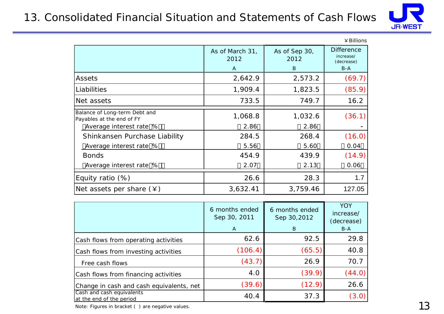#### 13. Consolidated Financial Situation and Statements of Cash Flows



|                                                            |                                                  |          | ¥ Billions                                   |
|------------------------------------------------------------|--------------------------------------------------|----------|----------------------------------------------|
|                                                            | As of March 31,<br>As of Sep 30,<br>2012<br>2012 |          | <b>Difference</b><br>increase/<br>(decrease) |
|                                                            | A                                                | B        | $B-A$                                        |
| Assets                                                     | 2,642.9                                          | 2,573.2  | (69.7)                                       |
| Liabilities                                                | 1,909.4                                          | 1,823.5  | (85.9)                                       |
| Net assets                                                 | 733.5                                            | 749.7    | 16.2                                         |
| Balance of Long-term Debt and<br>Payables at the end of FY | 1,068.8                                          | 1,032.6  | (36.1)                                       |
| Average interest rate %                                    | 2.86                                             | 2.86     |                                              |
| Shinkansen Purchase Liability                              | 284.5                                            | 268.4    | (16.0)                                       |
| Average interest rate %                                    | 5.56                                             | 5.60     | 0.04                                         |
| <b>Bonds</b>                                               | 454.9                                            | 439.9    | (14.9)                                       |
| Average interest rate %                                    | 2.07                                             | 2.13     | 0.06                                         |
| Equity ratio $(\%)$                                        | 26.6                                             | 28.3     | 1.7                                          |
| Net assets per share $(\yen)$                              | 3,632.41                                         | 3,759.46 | 127.05                                       |

|                                                       | 6 months ended<br>Sep 30, 2011<br>$\mathsf{A}$ | 6 months ended<br>Sep 30,2012<br>B | <b>YOY</b><br>increase/<br>(decrease)<br>$B-A$ |
|-------------------------------------------------------|------------------------------------------------|------------------------------------|------------------------------------------------|
| Cash flows from operating activities                  | 62.6                                           | 92.5                               | 29.8                                           |
| Cash flows from investing activities                  | (106.4)                                        | (65.5)                             | 40.8                                           |
| Free cash flows                                       | (43.7)                                         | 26.9                               | 70.7                                           |
| Cash flows from financing activities                  | 4.0                                            | (39.9)                             | (44.0)                                         |
| Change in cash and cash equivalents, net              | (39.6)                                         | (12.9)                             | 26.6                                           |
| Cash and cash equivalents<br>at the end of the period | 40.4                                           | 37.3                               | (3.0                                           |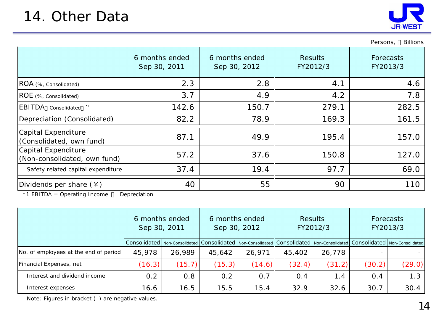

Persons, Billions

|                                                     | 6 months ended<br>Sep 30, 2011 | 6 months ended<br>Sep 30, 2012 | <b>Results</b><br>FY2012/3 | Forecasts<br>FY2013/3 |
|-----------------------------------------------------|--------------------------------|--------------------------------|----------------------------|-----------------------|
| ROA (%, Consolidated)                               | 2.3                            | 2.8                            | 4.1                        | 4.6                   |
| ROE (%, Consolidated)                               | 3.7                            | 4.9                            | 4.2                        | 7.8                   |
| <b>EBITDA</b> Consolidated                          | 142.6                          | 150.7                          | 279.1                      | 282.5                 |
| Depreciation (Consolidated)                         | 82.2                           | 78.9                           | 169.3                      | 161.5                 |
| Capital Expenditure<br>(Consolidated, own fund)     | 87.1                           | 49.9                           | 195.4                      | 157.0                 |
| Capital Expenditure<br>(Non-consolidated, own fund) | 57.2                           | 37.6                           | 150.8                      | 127.0                 |
| Safety related capital expenditure                  | 37.4                           | 19.4                           | 97.7                       | 69.0                  |
| Dividends per share $(*)$                           | 40                             | 55                             | 90                         | 110                   |

\*1 EBITDA = Operating Income Depreciation

|                                       | 6 months ended<br>Sep 30, 2011 |        | 6 months ended<br>Sep 30, 2012 |                                                                                                                                                                                                                                | <b>Results</b><br>FY2012/3 |        | Forecasts<br>FY2013/3 |        |
|---------------------------------------|--------------------------------|--------|--------------------------------|--------------------------------------------------------------------------------------------------------------------------------------------------------------------------------------------------------------------------------|----------------------------|--------|-----------------------|--------|
|                                       |                                |        |                                | Consolidated   Non-Consolidated   Consolidated   Non-Consolidated   Consolidated   Non-Consolidated   Consolidated   Non-Consolidated   Non-Consolidated   Non-Consolidated   Non-Consolidated   Non-Consolidated   Non-Consol |                            |        |                       |        |
| No. of employees at the end of period | 45,978                         | 26,989 | 45,642                         | 26,971                                                                                                                                                                                                                         | 45,402                     | 26,778 |                       |        |
| Financial Expenses, net               | (16.3)                         | (15.7) | (15.3)                         | (14.6)                                                                                                                                                                                                                         | (32.4)                     | (31.2) | (30.2)                | (29.0) |
| Interest and dividend income          | 0.2                            | 0.8    | 0.2                            | 0.7                                                                                                                                                                                                                            | 0.4                        | 1.4    | 0.4                   | 1.3    |
| Interest expenses                     | 16.6                           | 16.5   | 15.5                           | 15.4                                                                                                                                                                                                                           | 32.9                       | 32.6   | 30.7                  | 30.4   |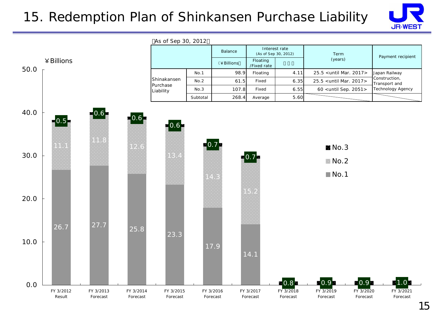### 15. Redemption Plan of Shinkansen Purchase Liability